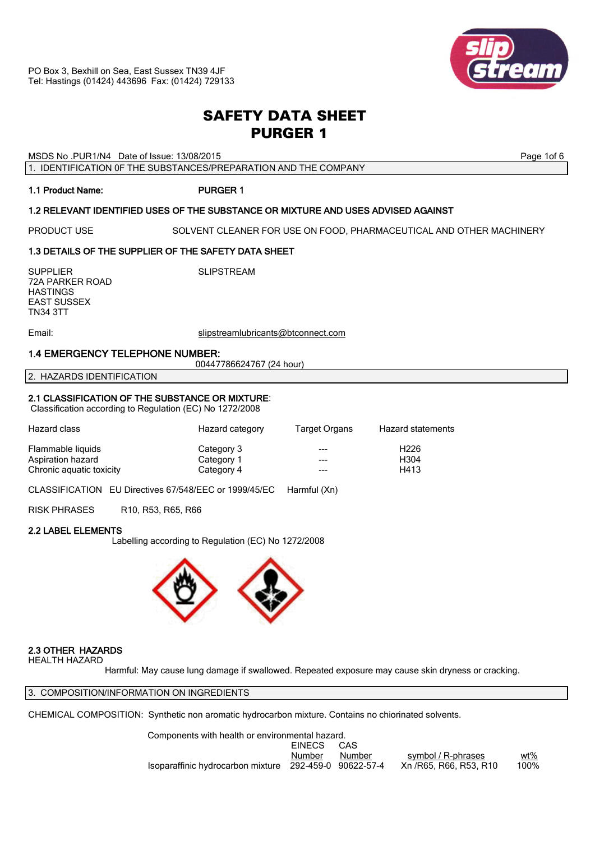

# *SAFETY DATA SHEET PURGER 1*

MSDS No .PUR1/N4 Date of Issue: 13/08/2015 **Page 101 State of Australian Page 1of 6** Page 1of 6

1. IDENTIFICATION 0F THE SUBSTANCES/PREPARATION AND THE COMPANY

# 1.1 Product Name: PURGER 1

# 1.2 RELEVANT IDENTIFIED USES OF THE SUBSTANCE OR MIXTURE AND USES ADVISED AGAINST

PRODUCT USE SOLVENT CLEANER FOR USE ON FOOD, PHARMACEUTICAL AND OTHER MACHINERY

# 1.3 DETAILS OF THE SUPPLIER OF THE SAFETY DATA SHEET

SUPPLIER SUPPLIER SUPPLIER 72A PARKER ROAD **HASTINGS** EAST SUSSEX TN34 3TT

Email: slipstreamlubricants@btconnect.com

# 1.4 EMERGENCY TELEPHONE NUMBER:

00447786624767 (24 hour)

2. HAZARDS IDENTIFICATION

# 2.1 CLASSIFICATION OF THE SUBSTANCE OR MIXTURE:

Classification according to Regulation (EC) No 1272/2008

| Hazard class             | Hazard category | Target Organs | Hazard statements |
|--------------------------|-----------------|---------------|-------------------|
| Flammable liquids        | Category 3      | $- - -$       | H <sub>226</sub>  |
| Aspiration hazard        | Category 1      | $- - -$       | H <sub>304</sub>  |
| Chronic aquatic toxicity | Category 4      |               | H413              |

CLASSIFICATION EU Directives 67/548/EEC or 1999/45/EC Harmful (Xn)

RISK PHRASES R10, R53, R65, R66

# 2.2 LABEL ELEMENTS

Labelling according to Regulation (EC) No 1272/2008



# 2.3 OTHER HAZARDS

HEALTH HAZARD

Harmful: May cause lung damage if swallowed. Repeated exposure may cause skin dryness or cracking.

3. COMPOSITION/INFORMATION ON INGREDIENTS

CHEMICAL COMPOSITION: Synthetic non aromatic hydrocarbon mixture. Contains no chiorinated solvents.

 Components with health or environmental hazard. EINECS CAS Number Number symbol / R-phrases wt% Isoparaffinic hydrocarbon mixture 292-459-0 90622-57-4 Xn /R65, R66, R53, R10 100%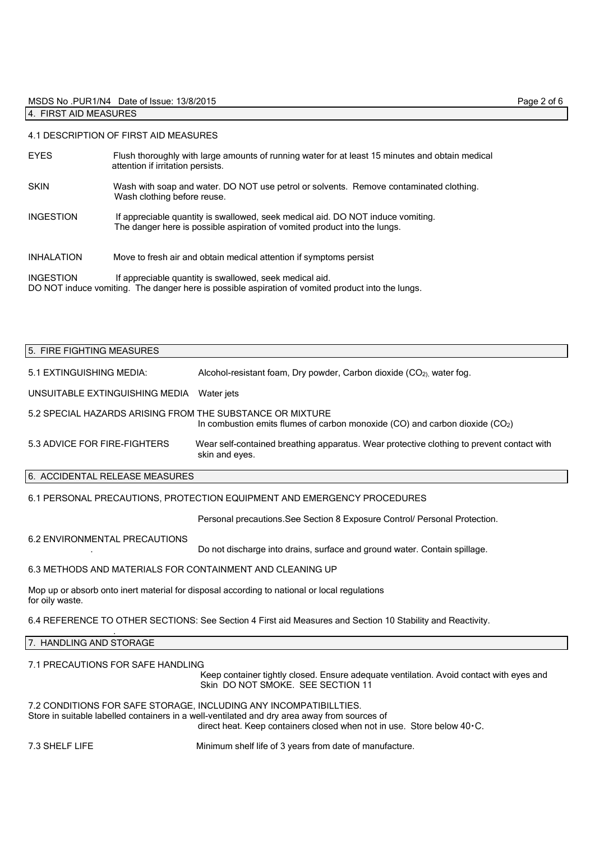# MSDS No .PUR1/N4 Date of Issue: 13/8/2015 Page 2 of 6

# 4. FIRST AID MEASURES

# 4.1 DESCRIPTION OF FIRST AID MEASURES

| <b>EYES</b>       | Flush thoroughly with large amounts of running water for at least 15 minutes and obtain medical<br>attention if irritation persists.                         |
|-------------------|--------------------------------------------------------------------------------------------------------------------------------------------------------------|
| <b>SKIN</b>       | Wash with soap and water. DO NOT use petrol or solvents. Remove contaminated clothing.<br>Wash clothing before reuse.                                        |
| <b>INGESTION</b>  | If appreciable quantity is swallowed, seek medical aid. DO NOT induce vomiting.<br>The danger here is possible aspiration of vomited product into the lungs. |
| <b>INHALATION</b> | Move to fresh air and obtain medical attention if symptoms persist                                                                                           |
| <b>INGESTION</b>  | If appreciable quantity is swallowed, seek medical aid.<br>DO NOT induce vomiting. The danger here is possible aspiration of vomited product into the lungs. |

# 5. FIRE FIGHTING MEASURES

| 5.1 EXTINGUISHING MEDIA:                                  | Alcohol-resistant foam, Dry powder, Carbon dioxide (CO <sub>2)</sub> , water fog.                           |
|-----------------------------------------------------------|-------------------------------------------------------------------------------------------------------------|
| UNSUITABLE EXTINGUISHING MEDIA Water jets                 |                                                                                                             |
| 5.2 SPECIAL HAZARDS ARISING FROM THE SUBSTANCE OR MIXTURE | In combustion emits flumes of carbon monoxide $(CO)$ and carbon dioxide $(CO2)$                             |
| 5.3 ADVICE FOR FIRE-FIGHTERS                              | Wear self-contained breathing apparatus. Wear protective clothing to prevent contact with<br>skin and eyes. |

# 6. ACCIDENTAL RELEASE MEASURES

# 6.1 PERSONAL PRECAUTIONS, PROTECTION EQUIPMENT AND EMERGENCY PROCEDURES

Personal precautions.See Section 8 Exposure Control/ Personal Protection.

#### 6.2 ENVIRONMENTAL PRECAUTIONS

. Do not discharge into drains, surface and ground water. Contain spillage.

# 6.3 METHODS AND MATERIALS FOR CONTAINMENT AND CLEANING UP

Mop up or absorb onto inert material for disposal according to national or local regulations for oily waste.

6.4 REFERENCE TO OTHER SECTIONS: See Section 4 First aid Measures and Section 10 Stability and Reactivity.

# 7. HANDLING AND STORAGE

.

# 7.1 PRECAUTIONS FOR SAFE HANDLING

 Keep container tightly closed. Ensure adequate ventilation. Avoid contact with eyes and Skin DO NOT SMOKE. SEE SECTION 11

7.2 CONDITIONS FOR SAFE STORAGE, INCLUDING ANY INCOMPATIBILLTIES. Store in suitable labelled containers in a well-ventilated and dry area away from sources of direct heat. Keep containers closed when not in use. Store below 40.C.

7.3 SHELF LIFE Minimum shelf life of 3 years from date of manufacture.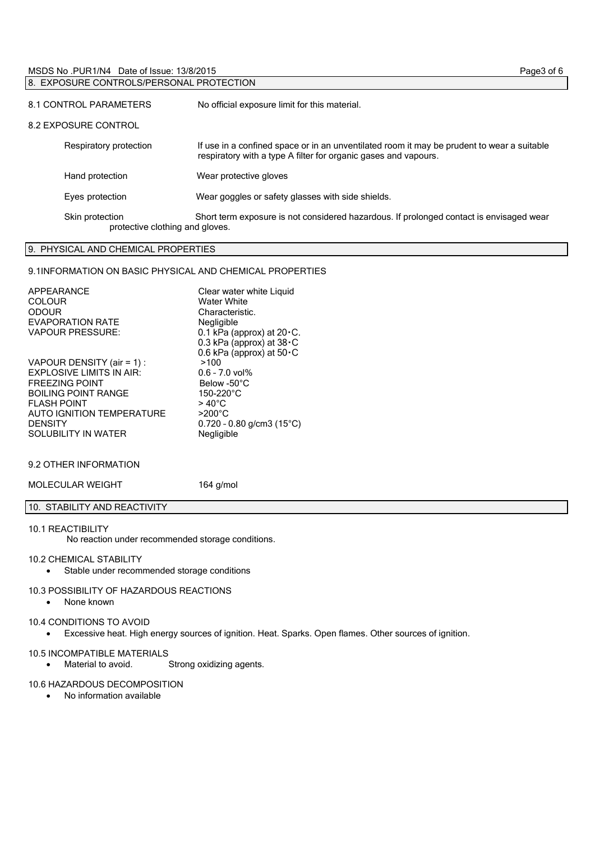#### MSDS No .PUR1/N4 Date of Issue: 13/8/2015 Page3 of 6 8. EXPOSURE CONTROLS/PERSONAL PROTECTION

| 0. LA COORE CONTROLOT LICONET ROTLOID              |                                                                                                                                                               |  |
|----------------------------------------------------|---------------------------------------------------------------------------------------------------------------------------------------------------------------|--|
| 8.1 CONTROL PARAMETERS                             | No official exposure limit for this material.                                                                                                                 |  |
| 8.2 EXPOSURE CONTROL                               |                                                                                                                                                               |  |
| Respiratory protection                             | If use in a confined space or in an unventilated room it may be prudent to wear a suitable<br>respiratory with a type A filter for organic gases and vapours. |  |
| Hand protection                                    | Wear protective gloves                                                                                                                                        |  |
| Eyes protection                                    | Wear goggles or safety glasses with side shields.                                                                                                             |  |
| Skin protection<br>protective clothing and gloves. | Short term exposure is not considered hazardous. If prolonged contact is envisaged wear                                                                       |  |

# 9. PHYSICAL AND CHEMICAL PROPERTIES

# 9.1INFORMATION ON BASIC PHYSICAL AND CHEMICAL PROPERTIES

| APPEARANCE<br><b>COLOUR</b><br><b>ODOUR</b><br><b>EVAPORATION RATE</b><br><b>VAPOUR PRESSURE:</b>                                                                                                                               | Clear water white Liquid<br><b>Water White</b><br>Characteristic.<br>Negligible<br>0.1 kPa (approx) at 20 · C.<br>0.3 kPa (approx) at $38 \cdot C$                           |
|---------------------------------------------------------------------------------------------------------------------------------------------------------------------------------------------------------------------------------|------------------------------------------------------------------------------------------------------------------------------------------------------------------------------|
| VAPOUR DENSITY (air = 1) :<br><b>EXPLOSIVE LIMITS IN AIR:</b><br><b>FREEZING POINT</b><br><b>BOILING POINT RANGE</b><br><b>FI ASH POINT</b><br><b>AUTO IGNITION TEMPERATURE</b><br><b>DENSITY</b><br><b>SOLUBILITY IN WATER</b> | 0.6 kPa (approx) at $50 \cdot C$<br>>100<br>$0.6 - 7.0$ vol%<br>Below -50°C<br>150-220°C<br>$>40^{\circ}$ C<br>$>200^{\circ}$ C<br>$0.720 - 0.80$ g/cm3 (15°C)<br>Negligible |

# 9.2 OTHER INFORMATION

MOLECULAR WEIGHT 164 g/mol

# 10. STABILITY AND REACTIVITY

# 10.1 REACTIBILITY

No reaction under recommended storage conditions.

# 10.2 CHEMICAL STABILITY

Stable under recommended storage conditions

#### 10.3 POSSIBILITY OF HAZARDOUS REACTIONS

• None known

# 10.4 CONDITIONS TO AVOID

Excessive heat. High energy sources of ignition. Heat. Sparks. Open flames. Other sources of ignition.

#### 10.5 INCOMPATIBLE MATERIALS

Material to avoid. Strong oxidizing agents.

# 10.6 HAZARDOUS DECOMPOSITION

No information available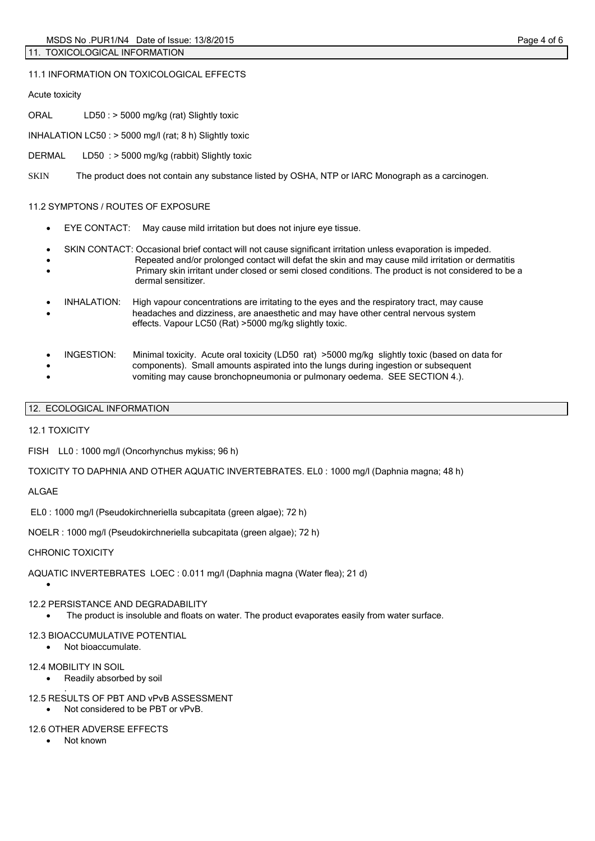11.1 INFORMATION ON TOXICOLOGICAL EFFECTS

Acute toxicity

ORAL LD50 : > 5000 mg/kg (rat) Slightly toxic

INHALATION LC50 : > 5000 mg/l (rat; 8 h) Slightly toxic

DERMAL LD50 : > 5000 mg/kg (rabbit) Slightly toxic

SKIN The product does not contain any substance listed by OSHA, NTP or IARC Monograph as a carcinogen.

# 11.2 SYMPTONS / ROUTES OF EXPOSURE

- EYE CONTACT: May cause mild irritation but does not injure eye tissue.
- SKIN CONTACT: Occasional brief contact will not cause significant irritation unless evaporation is impeded.
- Repeated and/or prolonged contact will defat the skin and may cause mild irritation or dermatitis Primary skin irritant under closed or semi closed conditions. The product is not considered to be a dermal sensitizer.
- INHALATION: High vapour concentrations are irritating to the eyes and the respiratory tract, may cause headaches and dizziness, are anaesthetic and may have other central nervous system effects. Vapour LC50 (Rat) >5000 mg/kg slightly toxic.
- INGESTION: Minimal toxicity. Acute oral toxicity (LD50 rat) >5000 mg/kg slightly toxic (based on data for components). Small amounts aspirated into the lungs during ingestion or subsequent vomiting may cause bronchopneumonia or pulmonary oedema. SEE SECTION 4.).
- 12. ECOLOGICAL INFORMATION

12.1 TOXICITY

FISH LL0 : 1000 mg/l (Oncorhynchus mykiss; 96 h)

TOXICITY TO DAPHNIA AND OTHER AQUATIC INVERTEBRATES. EL0 : 1000 mg/l (Daphnia magna; 48 h)

ALGAE

 $\bullet$ 

EL0 : 1000 mg/l (Pseudokirchneriella subcapitata (green algae); 72 h)

NOELR : 1000 mg/l (Pseudokirchneriella subcapitata (green algae); 72 h)

# CHRONIC TOXICITY

AQUATIC INVERTEBRATES LOEC : 0.011 mg/l (Daphnia magna (Water flea); 21 d)

# 12.2 PERSISTANCE AND DEGRADABILITY

The product is insoluble and floats on water. The product evaporates easily from water surface.

# 12.3 BIOACCUMULATIVE POTENTIAL

Not bioaccumulate.

# 12.4 MOBILITY IN SOIL

- Readily absorbed by soil
- . 12.5 RESULTS OF PBT AND vPvB ASSESSMENT
	- Not considered to be PBT or vPvB.

# 12.6 OTHER ADVERSE EFFECTS

• Not known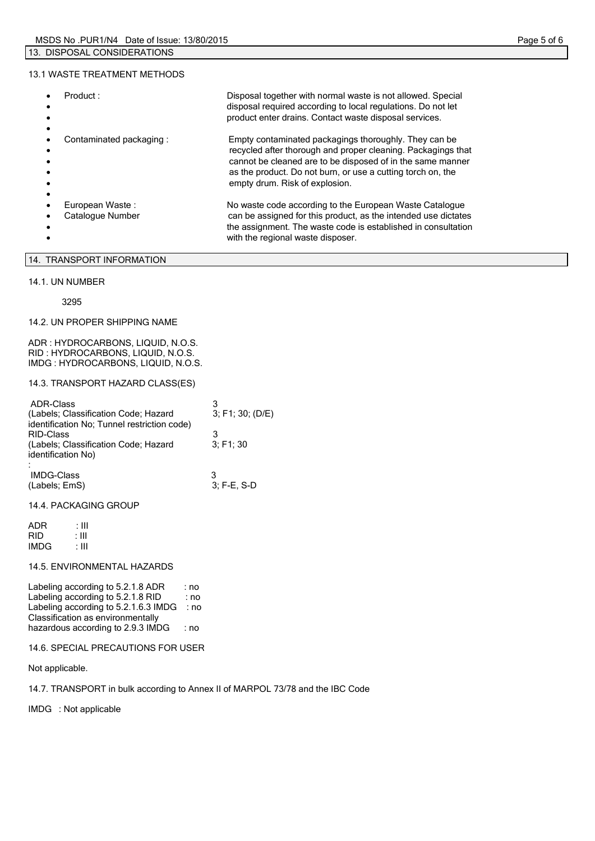#### 13.1 WASTE TREATMENT METHODS

| Product:                            | Disposal together with normal waste is not allowed. Special<br>disposal required according to local regulations. Do not let<br>product enter drains. Contact waste disposal services.                                                                                                |
|-------------------------------------|--------------------------------------------------------------------------------------------------------------------------------------------------------------------------------------------------------------------------------------------------------------------------------------|
| Contaminated packaging:             | Empty contaminated packagings thoroughly. They can be<br>recycled after thorough and proper cleaning. Packagings that<br>cannot be cleaned are to be disposed of in the same manner<br>as the product. Do not burn, or use a cutting torch on, the<br>empty drum. Risk of explosion. |
| European Waste:<br>Catalogue Number | No waste code according to the European Waste Catalogue<br>can be assigned for this product, as the intended use dictates<br>the assignment. The waste code is established in consultation<br>with the regional waste disposer.                                                      |

# 14. TRANSPORT INFORMATION

### 14.1. UN NUMBER

3295

#### 14.2. UN PROPER SHIPPING NAME

ADR : HYDROCARBONS, LIQUID, N.O.S. RID : HYDROCARBONS, LIQUID, N.O.S. IMDG : HYDROCARBONS, LIQUID, N.O.S.

#### 14.3. TRANSPORT HAZARD CLASS(ES)

| <b>ADR-Class</b><br>(Labels; Classification Code; Hazard<br>identification No; Tunnel restriction code) | 3; F1; 30; (D/E) |
|---------------------------------------------------------------------------------------------------------|------------------|
| <b>RID-Class</b>                                                                                        |                  |
| (Labels; Classification Code; Hazard<br>identification No)                                              | 3: F1: 30        |
|                                                                                                         |                  |
| <b>IMDG-Class</b><br>(Labels; EmS)                                                                      | $3: F-E. S-D$    |

#### 14.4. PACKAGING GROUP

| ADR        | : III |
|------------|-------|
| <b>RID</b> | : III |
| IMDG       | : III |

# 14.5. ENVIRONMENTAL HAZARDS

Labeling according to 5.2.1.8 ADR : no Labeling according to 5.2.1.8 RID : no Labeling according to 5.2.1.6.3 IMDG : no Classification as environmentally hazardous according to 2.9.3 IMDG : no

### 14.6. SPECIAL PRECAUTIONS FOR USER

Not applicable.

14.7. TRANSPORT in bulk according to Annex II of MARPOL 73/78 and the IBC Code

IMDG : Not applicable